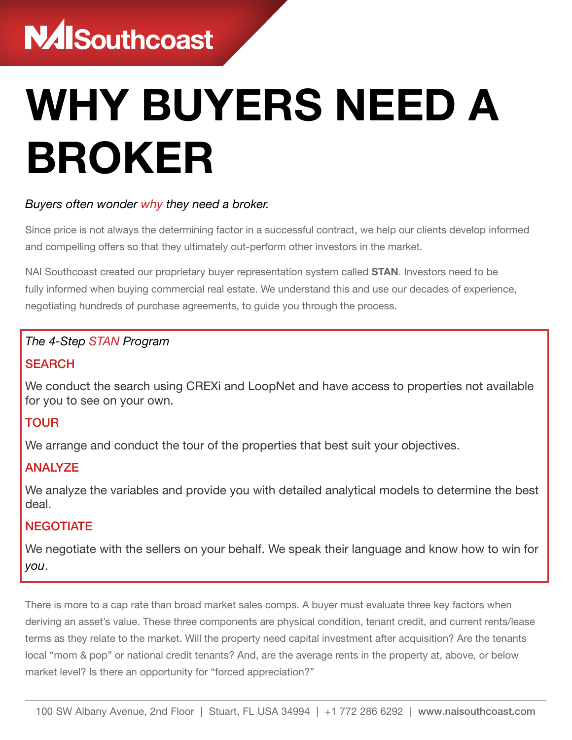# WHY BUYERS NEED A BROKER

## *Buyers often wonder why they need a broker.*

Since price is not always the determining factor in a successful contract, we help our clients develop informed and compelling offers so that they ultimately out-perform other investors in the market.

NAI Southcoast created our proprietary buyer representation system called **STAN**. Investors need to be fully informed when buying commercial real estate. We understand this and use our decades of experience, negotiating hundreds of purchase agreements, to guide you through the process.

#### *The 4-Step STAN Program*

#### **SEARCH**

We conduct the search using CREXi and LoopNet and have access to properties not available for you to see on your own.

## TOUR

We arrange and conduct the tour of the properties that best suit your objectives.

## ANALYZE

We analyze the variables and provide you with detailed analytical models to determine the best deal.

#### **NEGOTIATE**

We negotiate with the sellers on your behalf. We speak their language and know how to win for *you*.

There is more to a cap rate than broad market sales comps. A buyer must evaluate three key factors when deriving an asset's value. These three components are physical condition, tenant credit, and current rents/lease terms as they relate to the market. Will the property need capital investment after acquisition? Are the tenants local "mom & pop" or national credit tenants? And, are the average rents in the property at, above, or below market level? Is there an opportunity for "forced appreciation?"